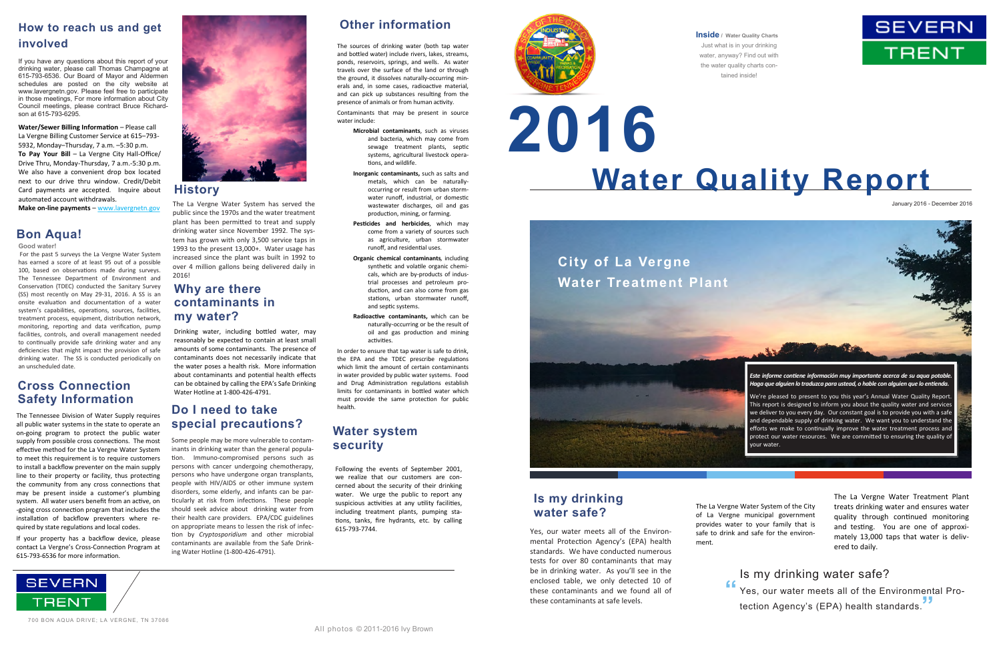# **Water Quality Report 2016**

### **Inside / Water Quality Charts**

Just what is in your drinking water, anyway? Find out with the water quality charts contained inside!

January 2016 - December 2016

Yes, our water meets all of the Environmental Protection Agency's (EPA) health standards. We have conducted numerous tests for over 80 contaminants that may be in drinking water. As you'll see in the enclosed table, we only detected 10 of these contaminants and we found all of these contaminants at safe levels.

The La Vergne Water System of the City of La Vergne municipal government provides water to your family that is safe to drink and safe for the environ-

ment.

The La Vergne Water Treatment Plant treats drinking water and ensures water quality through continued monitoring and testing. You are one of approximately 13,000 taps that water is delivered to daily.

Is my drinking water safe? Yes, our water meets all of the Environmental Protection Agency's (EPA) health standards. **"**



**Water/Sewer Billing Information** – Please call La Vergne Billing Customer Service at 615–793- 5932, Monday–Thursday, 7 a.m. –5:30 p.m. **To Pay Your Bill** – La Vergne City Hall-Office/ Drive Thru, Monday-Thursday, 7 a.m.-5:30 p.m. We also have a convenient drop box located next to our drive thru window. Credit/Debit Card payments are accepted. Inquire about automated account withdrawals.

**Make on-line payments** – www.lavergnetn.gov The La Vergne Water System has served the public since the 1970s and the water treatment plant has been permitted to treat and supply drinking water since November 1992. The system has grown with only 3,500 service taps in 1993 to the present 13,000+. Water usage has increased since the plant was built in 1992 to over 4 million gallons being delivered daily in 2016!

**Good water!** 

 For the past 5 surveys the La Vergne Water System has earned a score of at least 95 out of a possible 100, based on observations made during surveys. The Tennessee Department of Environment and Conservation (TDEC) conducted the Sanitary Survey (SS) most recently on May 29-31, 2016. A SS is an onsite evaluation and documentation of a water system's capabilities, operations, sources, facilities, treatment process, equipment, distribution network, monitoring, reporting and data verification, pump facilities, controls, and overall management needed to continually provide safe drinking water and any deficiencies that might impact the provision of safe drinking water. The SS is conducted periodically on an unscheduled date.

## **Bon Aqua!**

## **How to reach us and get involved**

If you have any questions about this report of your drinking water, please call Thomas Champagne at 615-793-6536. Our Board of Mayor and Aldermen schedules are posted on the city website at www.lavergnetn.gov. Please feel free to participate in those meetings, For more information about City Council meetings, please contract Bruce Richardson at 615-793-6295.



The sources of drinking water (both tap water and bottled water) include rivers, lakes, streams, ponds, reservoirs, springs, and wells. As water travels over the surface of the land or through the ground, it dissolves naturally-occurring minerals and, in some cases, radioactive material, and can pick up substances resulting from the presence of animals or from human activity.

Contaminants that may be present in source water include:

> **Microbial contaminants**, such as viruses and bacteria, which may come from sewage treatment plants, septic systems, agricultural livestock operations, and wildlife.

> **Inorganic contaminants,** such as salts and metals, which can be naturallyoccurring or result from urban stormwater runoff, industrial, or domestic wastewater discharges, oil and gas production, mining, or farming.

**Pesticides and herbicides***,* which may come from a variety of sources such as agriculture, urban stormwater runoff, and residential uses.

**Organic chemical contaminants***,* including synthetic and volatile organic chemicals, which are by-products of industrial processes and petroleum production, and can also come from gas stations, urban stormwater runoff, and septic systems.

**Radioactive contaminants,** which can be naturally-occurring or be the result of oil and gas production and mining activities.

In order to ensure that tap water is safe to drink, the EPA and the TDEC prescribe regulations which limit the amount of certain contaminants in water provided by public water systems. Food and Drug Administration regulations establish limits for contaminants in bottled water which must provide the same protection for public health.

## **History**

## **Other information**

## **Why are there contaminants in my water?**

## **Water system security**

## **Cross Connection Safety Information**

Drinking water, including bottled water, may reasonably be expected to contain at least small amounts of some contaminants. The presence of contaminants does not necessarily indicate that the water poses a health risk. More information about contaminants and potential health effects can be obtained by calling the EPA's Safe Drinking Water Hotline at 1-800-426-4791.

> Following the events of September 2001, we realize that our customers are concerned about the security of their drinking water. We urge the public to report any suspicious activities at any utility facilities, including treatment plants, pumping stations, tanks, fire hydrants, etc. by calling 615-793-7744.



The Tennessee Division of Water Supply requires all public water systems in the state to operate an on-going program to protect the public water supply from possible cross connections. The most effective method for the La Vergne Water System to meet this requirement is to require customers to install a backflow preventer on the main supply line to their property or facility, thus protecting the community from any cross connections that may be present inside a customer's plumbing system. All water users benefit from an active, on -going cross connection program that includes the installation of backflow preventers where required by state regulations and local codes.

If your property has a backflow device, please contact La Vergne's Cross-Connection Program at 615-793-6536 for more information.





## **Is my drinking water safe?**

## **Do I need to take special precautions?**

Some people may be more vulnerable to contaminants in drinking water than the general population. Immuno-compromised persons such as persons with cancer undergoing chemotherapy, persons who have undergone organ transplants, people with HIV/AIDS or other immune system disorders, some elderly, and infants can be particularly at risk from infections. These people should seek advice about drinking water from their health care providers. EPA/CDC guidelines on appropriate means to lessen the risk of infection by *Cryptosporidium* and other microbial contaminants are available from the Safe Drinking Water Hotline (1-800-426-4791).